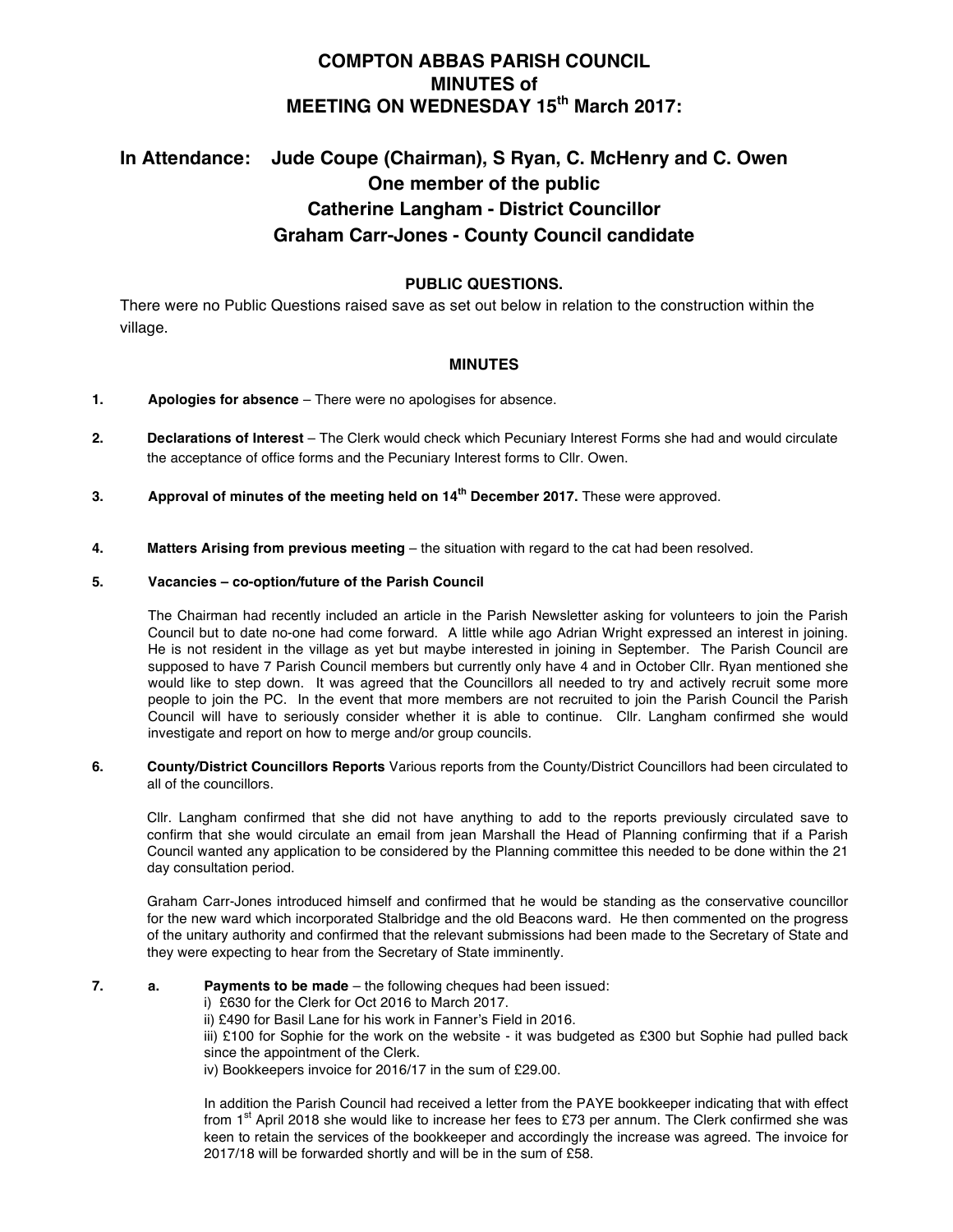# **COMPTON ABBAS PARISH COUNCIL MINUTES of MEETING ON WEDNESDAY 15th March 2017:**

# **In Attendance: Jude Coupe (Chairman), S Ryan, C. McHenry and C. Owen One member of the public Catherine Langham - District Councillor Graham Carr-Jones - County Council candidate**

## **PUBLIC QUESTIONS.**

There were no Public Questions raised save as set out below in relation to the construction within the village.

### **MINUTES**

- **1. Apologies for absence** There were no apologises for absence.
- **2. Declarations of Interest** The Clerk would check which Pecuniary Interest Forms she had and would circulate the acceptance of office forms and the Pecuniary Interest forms to Cllr. Owen.
- **3. Approval of minutes of the meeting held on 14th December 2017.** These were approved.
- **4. Matters Arising from previous meeting** the situation with regard to the cat had been resolved.

#### **5. Vacancies – co-option/future of the Parish Council**

The Chairman had recently included an article in the Parish Newsletter asking for volunteers to join the Parish Council but to date no-one had come forward. A little while ago Adrian Wright expressed an interest in joining. He is not resident in the village as yet but maybe interested in joining in September. The Parish Council are supposed to have 7 Parish Council members but currently only have 4 and in October Cllr. Ryan mentioned she would like to step down. It was agreed that the Councillors all needed to try and actively recruit some more people to join the PC. In the event that more members are not recruited to join the Parish Council the Parish Council will have to seriously consider whether it is able to continue. Cllr. Langham confirmed she would investigate and report on how to merge and/or group councils.

**6. County/District Councillors Reports** Various reports from the County/District Councillors had been circulated to all of the councillors.

Cllr. Langham confirmed that she did not have anything to add to the reports previously circulated save to confirm that she would circulate an email from jean Marshall the Head of Planning confirming that if a Parish Council wanted any application to be considered by the Planning committee this needed to be done within the 21 day consultation period.

Graham Carr-Jones introduced himself and confirmed that he would be standing as the conservative councillor for the new ward which incorporated Stalbridge and the old Beacons ward. He then commented on the progress of the unitary authority and confirmed that the relevant submissions had been made to the Secretary of State and they were expecting to hear from the Secretary of State imminently.

- **7. a. Payments to be made**  the following cheques had been issued:
	- i) £630 for the Clerk for Oct 2016 to March 2017.
	- ii) £490 for Basil Lane for his work in Fanner's Field in 2016.

iii) £100 for Sophie for the work on the website - it was budgeted as £300 but Sophie had pulled back since the appointment of the Clerk.

iv) Bookkeepers invoice for 2016/17 in the sum of £29.00.

In addition the Parish Council had received a letter from the PAYE bookkeeper indicating that with effect from  $1<sup>st</sup>$  April 2018 she would like to increase her fees to £73 per annum. The Clerk confirmed she was keen to retain the services of the bookkeeper and accordingly the increase was agreed. The invoice for 2017/18 will be forwarded shortly and will be in the sum of £58.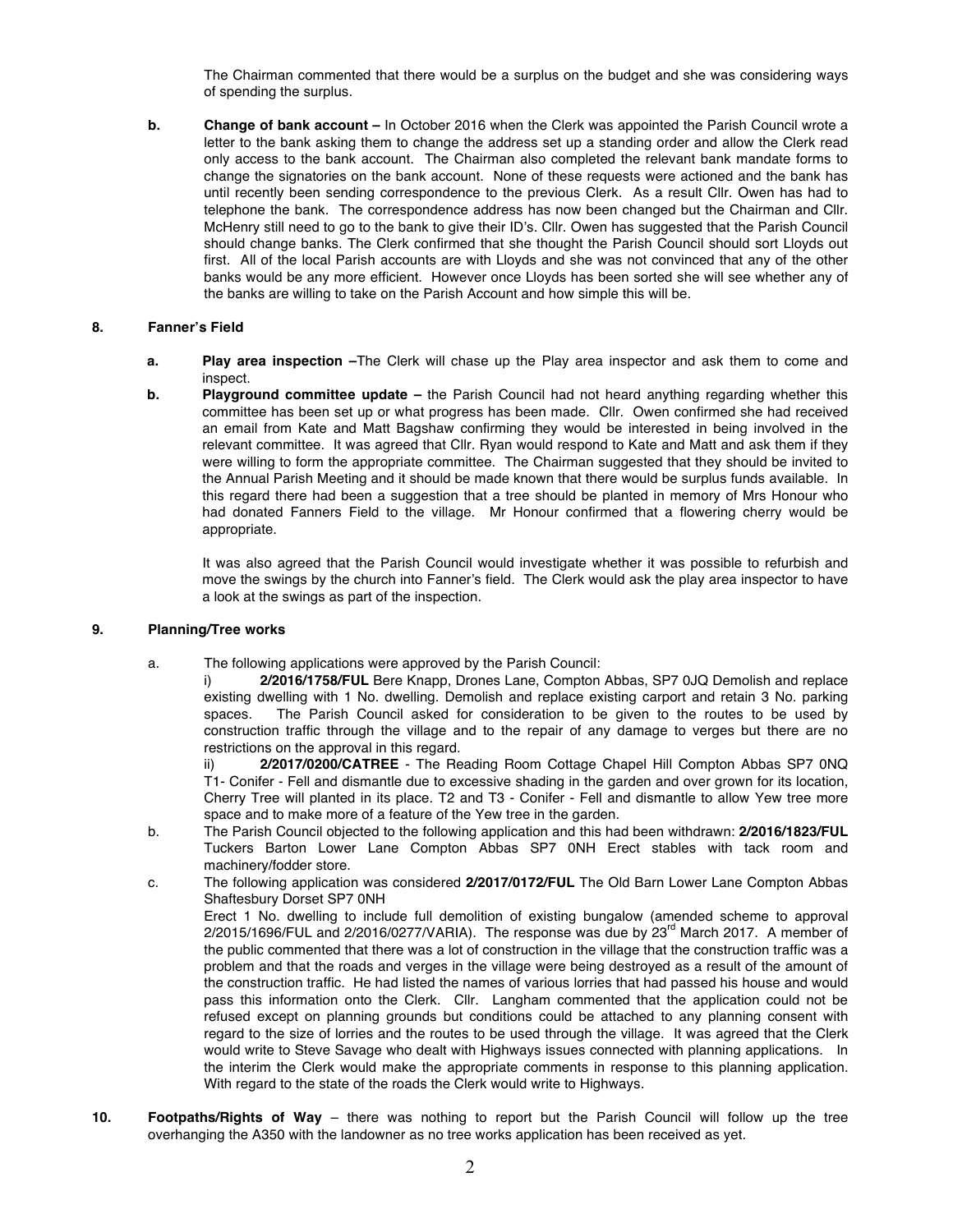The Chairman commented that there would be a surplus on the budget and she was considering ways of spending the surplus.

**b. Change of bank account –** In October 2016 when the Clerk was appointed the Parish Council wrote a letter to the bank asking them to change the address set up a standing order and allow the Clerk read only access to the bank account. The Chairman also completed the relevant bank mandate forms to change the signatories on the bank account. None of these requests were actioned and the bank has until recently been sending correspondence to the previous Clerk. As a result Cllr. Owen has had to telephone the bank. The correspondence address has now been changed but the Chairman and Cllr. McHenry still need to go to the bank to give their ID's. Cllr. Owen has suggested that the Parish Council should change banks. The Clerk confirmed that she thought the Parish Council should sort Lloyds out first. All of the local Parish accounts are with Lloyds and she was not convinced that any of the other banks would be any more efficient. However once Lloyds has been sorted she will see whether any of the banks are willing to take on the Parish Account and how simple this will be.

#### **8. Fanner's Field**

- **a. Play area inspection –**The Clerk will chase up the Play area inspector and ask them to come and inspect.
- **b. Playground committee update –** the Parish Council had not heard anything regarding whether this committee has been set up or what progress has been made. Cllr. Owen confirmed she had received an email from Kate and Matt Bagshaw confirming they would be interested in being involved in the relevant committee. It was agreed that Cllr. Ryan would respond to Kate and Matt and ask them if they were willing to form the appropriate committee. The Chairman suggested that they should be invited to the Annual Parish Meeting and it should be made known that there would be surplus funds available. In this regard there had been a suggestion that a tree should be planted in memory of Mrs Honour who had donated Fanners Field to the village. Mr Honour confirmed that a flowering cherry would be appropriate.

It was also agreed that the Parish Council would investigate whether it was possible to refurbish and move the swings by the church into Fanner's field. The Clerk would ask the play area inspector to have a look at the swings as part of the inspection.

#### **9. Planning/Tree works**

- a. The following applications were approved by the Parish Council:
	- i) **2/2016/1758/FUL** Bere Knapp, Drones Lane, Compton Abbas, SP7 0JQ Demolish and replace existing dwelling with 1 No. dwelling. Demolish and replace existing carport and retain 3 No. parking spaces. The Parish Council asked for consideration to be given to the routes to be used by construction traffic through the village and to the repair of any damage to verges but there are no restrictions on the approval in this regard.

ii) **2/2017/0200/CATREE** - The Reading Room Cottage Chapel Hill Compton Abbas SP7 0NQ T1- Conifer - Fell and dismantle due to excessive shading in the garden and over grown for its location, Cherry Tree will planted in its place. T2 and T3 - Conifer - Fell and dismantle to allow Yew tree more space and to make more of a feature of the Yew tree in the garden.

- b. The Parish Council objected to the following application and this had been withdrawn: **2/2016/1823/FUL** Tuckers Barton Lower Lane Compton Abbas SP7 0NH Erect stables with tack room and machinery/fodder store.
- c. The following application was considered **2/2017/0172/FUL** The Old Barn Lower Lane Compton Abbas Shaftesbury Dorset SP7 0NH Erect 1 No. dwelling to include full demolition of existing bungalow (amended scheme to approval

 $2/2015/1696/FUL$  and  $2/2016/0277/VARIA$ ). The response was due by  $23<sup>rd</sup>$  March 2017. A member of the public commented that there was a lot of construction in the village that the construction traffic was a problem and that the roads and verges in the village were being destroyed as a result of the amount of the construction traffic. He had listed the names of various lorries that had passed his house and would pass this information onto the Clerk. Cllr. Langham commented that the application could not be refused except on planning grounds but conditions could be attached to any planning consent with regard to the size of lorries and the routes to be used through the village. It was agreed that the Clerk would write to Steve Savage who dealt with Highways issues connected with planning applications. In the interim the Clerk would make the appropriate comments in response to this planning application. With regard to the state of the roads the Clerk would write to Highways.

**10. Footpaths/Rights of Way** – there was nothing to report but the Parish Council will follow up the tree overhanging the A350 with the landowner as no tree works application has been received as yet.